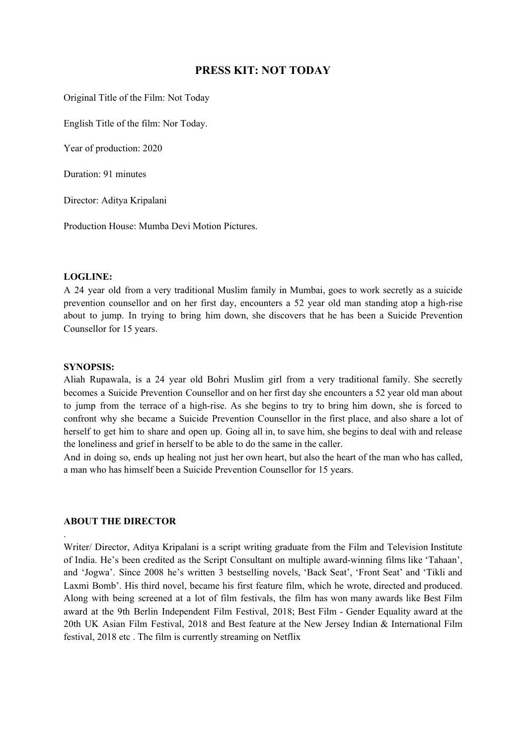# **PRESS KIT: NOT TODAY**

Original Title of the Film: Not Today

English Title of the film: Nor Today.

Year of production: 2020

Duration: 91 minutes

Director: Aditya Kripalani

Production House: Mumba Devi Motion Pictures.

### **LOGLINE:**

A 24 year old from a very traditional Muslim family in Mumbai, goes to work secretly as a suicide prevention counsellor and on her first day, encounters a 52 year old man standing atop a high-rise about to jump. In trying to bring him down, she discovers that he has been a Suicide Prevention Counsellor for 15 years.

#### **SYNOPSIS:**

Aliah Rupawala, is a 24 year old Bohri Muslim girl from a very traditional family. She secretly becomes a Suicide Prevention Counsellor and on her first day she encounters a 52 year old man about to jump from the terrace of a high-rise. As she begins to try to bring him down, she is forced to confront why she became a Suicide Prevention Counsellor in the first place, and also share a lot of herself to get him to share and open up. Going all in, to save him, she begins to deal with and release the loneliness and grief in herself to be able to do the same in the caller.

And in doing so, ends up healing not just her own heart, but also the heart of the man who has called, a man who has himself been a Suicide Prevention Counsellor for 15 years.

### **ABOUT THE DIRECTOR**

.

Writer/ Director, Aditya Kripalani is a script writing graduate from the Film and Television Institute of India. He's been credited as the Script Consultant on multiple award-winning films like 'Tahaan', and 'Jogwa'. Since 2008 he's written 3 bestselling novels, 'Back Seat', 'Front Seat' and 'Tikli and Laxmi Bomb'. His third novel, became his first feature film, which he wrote, directed and produced. Along with being screened at a lot of film festivals, the film has won many awards like Best Film award at the 9th Berlin Independent Film Festival, 2018; Best Film - Gender Equality award at the 20th UK Asian Film Festival, 2018 and Best feature at the New Jersey Indian & International Film festival, 2018 etc . The film is currently streaming on Netflix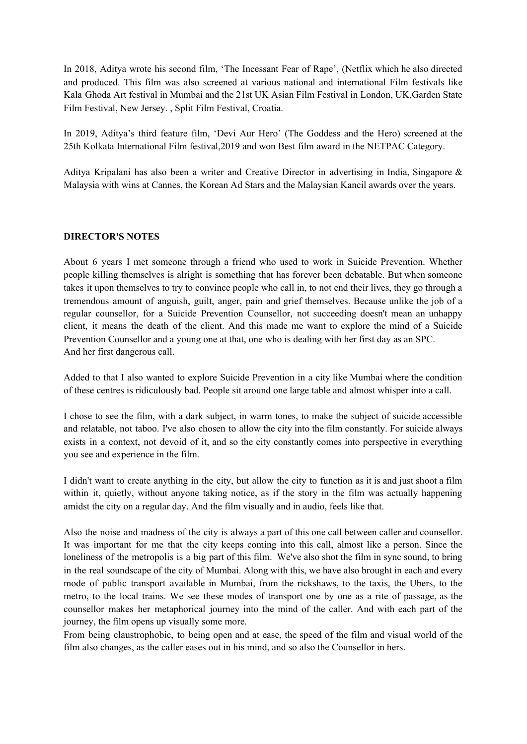In 2018, Aditya wrote his second film, 'The Incessant Fear of Rape', (Netflix which he also directed and produced. This film was also screened at various national and international Film festivals like Kala Ghoda Art festival in Mumbai and the 21st UK Asian Film Festival in London, UK,Garden State Film Festival, New Jersey. , Split Film Festival, Croatia.

In 2019, Aditya's third feature film, 'Devi Aur Hero' (The Goddess and the Hero) screened at the 25th Kolkata International Film festival,2019 and won Best film award in the NETPAC Category.

Aditya Kripalani has also been a writer and Creative Director in advertising in India, Singapore & Malaysia with wins at Cannes, the Korean Ad Stars and the Malaysian Kancil awards over the years.

### **DIRECTOR'S NOTES**

About 6 years I met someone through a friend who used to work in Suicide Prevention. Whether people killing themselves is alright is something that has forever been debatable. But when someone takes it upon themselves to try to convince people who call in, to not end their lives, they go through a tremendous amount of anguish, guilt, anger, pain and grief themselves. Because unlike the job of a regular counsellor, for a Suicide Prevention Counsellor, not succeeding doesn't mean an unhappy client, it means the death of the client. And this made me want to explore the mind of a Suicide Prevention Counsellor and a young one at that, one who is dealing with her first day as an SPC. And her first dangerous call.

Added to that I also wanted to explore Suicide Prevention in a city like Mumbai where the condition of these centres is ridiculously bad. People sit around one large table and almost whisper into a call.

I chose to see the film, with a dark subject, in warm tones, to make the subject of suicide accessible and relatable, not taboo. I've also chosen to allow the city into the film constantly. For suicide always exists in a context, not devoid of it, and so the city constantly comes into perspective in everything you see and experience in the film.

I didn't want to create anything in the city, but allow the city to function as it is and just shoot a film within it, quietly, without anyone taking notice, as if the story in the film was actually happening amidst the city on a regular day. And the film visually and in audio, feels like that.

Also the noise and madness of the city is always a part of this one call between caller and counsellor. It was important for me that the city keeps coming into this call, almost like a person. Since the loneliness of the metropolis is a big part of this film. We've also shot the film in sync sound, to bring in the real soundscape of the city of Mumbai. Along with this, we have also brought in each and every mode of public transport available in Mumbai, from the rickshaws, to the taxis, the Ubers, to the metro, to the local trains. We see these modes of transport one by one as a rite of passage, as the counsellor makes her metaphorical journey into the mind of the caller. And with each part of the journey, the film opens up visually some more.

From being claustrophobic, to being open and at ease, the speed of the film and visual world of the film also changes, as the caller eases out in his mind, and so also the Counsellor in hers.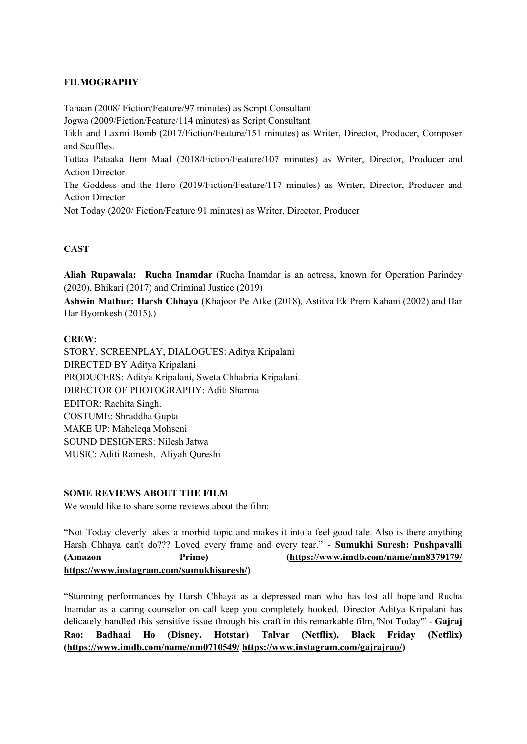## **FILMOGRAPHY**

Tahaan (2008/ Fiction/Feature/97 minutes) as Script Consultant Jogwa (2009/Fiction/Feature/114 minutes) as Script Consultant Tikli and Laxmi Bomb (2017/Fiction/Feature/151 minutes) as Writer, Director, Producer, Composer and Scuffles. Tottaa Pataaka Item Maal (2018/Fiction/Feature/107 minutes) as Writer, Director, Producer and Action Director The Goddess and the Hero (2019/Fiction/Feature/117 minutes) as Writer, Director, Producer and Action Director Not Today (2020/ Fiction/Feature 91 minutes) as Writer, Director, Producer

# **CAST**

**Aliah Rupawala: Rucha Inamdar** (Rucha Inamdar is an actress, known for Operation Parindey (2020), Bhikari (2017) and Criminal Justice (2019)

**Ashwin Mathur: Harsh Chhaya** (Khajoor Pe Atke (2018), Astitva Ek Prem Kahani (2002) and Har Har Byomkesh (2015).)

### **CREW:**

STORY, SCREENPLAY, DIALOGUES: Aditya Kripalani DIRECTED BY Aditya Kripalani PRODUCERS: Aditya Kripalani, Sweta Chhabria Kripalani. DIRECTOR OF PHOTOGRAPHY: Aditi Sharma EDITOR: Rachita Singh. COSTUME: Shraddha Gupta MAKE UP: Maheleqa Mohseni SOUND DESIGNERS: Nilesh Jatwa MUSIC: Aditi Ramesh, Aliyah Qureshi

### **SOME REVIEWS ABOUT THE FILM**

We would like to share some reviews about the film:

"Not Today cleverly takes a morbid topic and makes it into a feel good tale. Also is there anything Harsh Chhaya can't do??? Loved every frame and every tear." - **Sumukhi Suresh: Pushpavalli (Amazon Prime) [\(https://www.imdb.com/name/nm8379179/](https://www.imdb.com/name/nm8379179/) [https://www.instagram.com/sumukhisuresh/\)](https://www.instagram.com/sumukhisuresh/)**

"Stunning performances by Harsh Chhaya as a depressed man who has lost all hope and Rucha Inamdar as a caring counselor on call keep you completely hooked. Director Aditya Kripalani has delicately handled this sensitive issue through his craft in this remarkable film, 'Not Today'" - **Gajraj Rao: Badhaai Ho (Disney. Hotstar) Talvar (Netflix), Black Friday (Netflix) (<https://www.imdb.com/name/nm0710549/> [https://www.instagram.com/gajrajrao/\)](https://www.instagram.com/gajrajrao/)**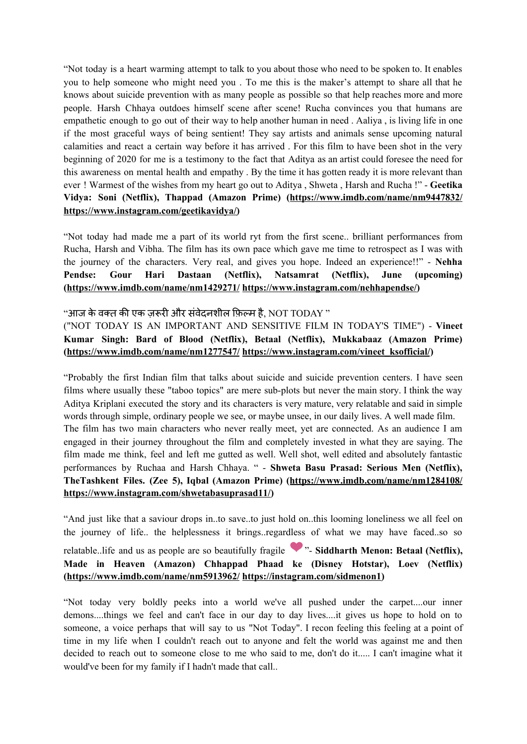"Not today is a heart warming attempt to talk to you about those who need to be spoken to. It enables you to help someone who might need you . To me this is the maker's attempt to share all that he knows about suicide prevention with as many people as possible so that help reaches more and more people. Harsh Chhaya outdoes himself scene after scene! Rucha convinces you that humans are empathetic enough to go out of their way to help another human in need . Aaliya , is living life in one if the most graceful ways of being sentient! They say artists and animals sense upcoming natural calamities and react a certain way before it has arrived . For this film to have been shot in the very beginning of 2020 for me is a testimony to the fact that Aditya as an artist could foresee the need for this awareness on mental health and empathy . By the time it has gotten ready it is more relevant than ever ! Warmest of the wishes from my heart go out to Aditya , Shweta , Harsh and Rucha !" - **Geetika Vidya: Soni (Netflix), Thappad (Amazon Prime) (<https://www.imdb.com/name/nm9447832/> [https://www.instagram.com/geetikavidya/\)](https://www.instagram.com/geetikavidya/)**

"Not today had made me a part of its world ryt from the first scene.. brilliant performances from Rucha, Harsh and Vibha. The film has its own pace which gave me time to retrospect as I was with the journey of the characters. Very real, and gives you hope. Indeed an experience!!" - **Nehha Pendse: Gour Hari Dastaan (Netflix), Natsamrat (Netflix), June (upcoming) (<https://www.imdb.com/name/nm1429271/> <https://www.instagram.com/nehhapendse/>)**

### "आज के वक्त की एक जरूरी और संवेदनशील फ़िल्म है, NOT TODAY "

("NOT TODAY IS AN IMPORTANT AND SENSITIVE FILM IN TODAY'S TIME") - **Vineet Kumar Singh: Bard of Blood (Netflix), Betaal (Netflix), Mukkabaaz (Amazon Prime) (<https://www.imdb.com/name/nm1277547/> [https://www.instagram.com/vineet\\_ksofficial/](https://www.instagram.com/vineet_ksofficial/))**

"Probably the first Indian film that talks about suicide and suicide prevention centers. I have seen films where usually these "taboo topics" are mere sub-plots but never the main story. I think the way Aditya Kriplani executed the story and its characters is very mature, very relatable and said in simple words through simple, ordinary people we see, or maybe unsee, in our daily lives. A well made film. The film has two main characters who never really meet, yet are connected. As an audience I am engaged in their journey throughout the film and completely invested in what they are saying. The film made me think, feel and left me gutted as well. Well shot, well edited and absolutely fantastic performances by Ruchaa and Harsh Chhaya. " - **Shweta Basu Prasad: Serious Men (Netflix), TheTashkent Files. (Zee 5), Iqbal (Amazon Prime) (<https://www.imdb.com/name/nm1284108/> <https://www.instagram.com/shwetabasuprasad11/>)**

"And just like that a saviour drops in..to save..to just hold on..this looming loneliness we all feel on the journey of life.. the helplessness it brings..regardless of what we may have faced..so so

relatable..life and us as people are so beautifully fragile "- **Siddharth Menon: Betaal (Netflix), Made in Heaven (Amazon) Chhappad Phaad ke (Disney Hotstar), Loev (Netflix) (<https://www.imdb.com/name/nm5913962/> [https://instagram.com/sidmenon1\)](https://instagram.com/sidmenon1?igshid=uc3pjhfnjd3f)**

"Not today very boldly peeks into a world we've all pushed under the carpet....our inner demons....things we feel and can't face in our day to day lives....it gives us hope to hold on to someone, a voice perhaps that will say to us "Not Today". I recon feeling this feeling at a point of time in my life when I couldn't reach out to anyone and felt the world was against me and then decided to reach out to someone close to me who said to me, don't do it..... I can't imagine what it would've been for my family if I hadn't made that call..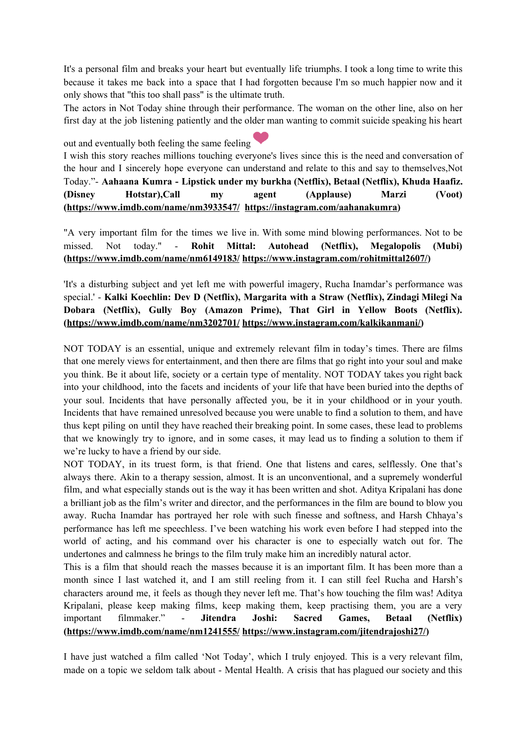It's a personal film and breaks your heart but eventually life triumphs. I took a long time to write this because it takes me back into a space that I had forgotten because I'm so much happier now and it only shows that "this too shall pass" is the ultimate truth.

The actors in Not Today shine through their performance. The woman on the other line, also on her first day at the job listening patiently and the older man wanting to commit suicide speaking his heart

out and eventually both feeling the same feeling

I wish this story reaches millions touching everyone's lives since this is the need and conversation of the hour and I sincerely hope everyone can understand and relate to this and say to themselves,Not Today."- **Aahaana Kumra - Lipstick under my burkha (Netflix), Betaal (Netflix), Khuda Haafiz. (Disney Hotstar),Call my agent (Applause) Marzi (Voot) ([https://www.imdb.com/name/nm3933547/](https://www.imdb.com/name/nm3933547/?ref_=fn_al_nm_1) [https://instagram.com/aahanakumra\)](https://instagram.com/aahanakumra?igshid=1bey4ph0wyvsm)**

"A very important film for the times we live in. With some mind blowing performances. Not to be missed. Not today." - **Rohit Mittal: Autohead (Netflix), Megalopolis (Mubi) (<https://www.imdb.com/name/nm6149183/> <https://www.instagram.com/rohitmittal2607/>)**

'It's a disturbing subject and yet left me with powerful imagery, Rucha Inamdar's performance was special.' - **Kalki Koechlin: Dev D (Netflix), Margarita with a Straw (Netflix), Zindagi Milegi Na Dobara (Netflix), Gully Boy (Amazon Prime), That Girl in Yellow Boots (Netflix). (<https://www.imdb.com/name/nm3202701/> [https://www.instagram.com/kalkikanmani/\)](https://www.instagram.com/kalkikanmani/)**

NOT TODAY is an essential, unique and extremely relevant film in today's times. There are films that one merely views for entertainment, and then there are films that go right into your soul and make you think. Be it about life, society or a certain type of mentality. NOT TODAY takes you right back into your childhood, into the facets and incidents of your life that have been buried into the depths of your soul. Incidents that have personally affected you, be it in your childhood or in your youth. Incidents that have remained unresolved because you were unable to find a solution to them, and have thus kept piling on until they have reached their breaking point. In some cases, these lead to problems that we knowingly try to ignore, and in some cases, it may lead us to finding a solution to them if we're lucky to have a friend by our side.

NOT TODAY, in its truest form, is that friend. One that listens and cares, selflessly. One that's always there. Akin to a therapy session, almost. It is an unconventional, and a supremely wonderful film, and what especially stands out is the way it has been written and shot. Aditya Kripalani has done a brilliant job as the film's writer and director, and the performances in the film are bound to blow you away. Rucha Inamdar has portrayed her role with such finesse and softness, and Harsh Chhaya's performance has left me speechless. I've been watching his work even before I had stepped into the world of acting, and his command over his character is one to especially watch out for. The undertones and calmness he brings to the film truly make him an incredibly natural actor.

This is a film that should reach the masses because it is an important film. It has been more than a month since I last watched it, and I am still reeling from it. I can still feel Rucha and Harsh's characters around me, it feels as though they never left me. That's how touching the film was! Aditya Kripalani, please keep making films, keep making them, keep practising them, you are a very important filmmaker." - **Jitendra Joshi: Sacred Games, Betaal (Netflix) (<https://www.imdb.com/name/nm1241555/> [https://www.instagram.com/jitendrajoshi27/\)](https://www.instagram.com/jitendrajoshi27/)**

I have just watched a film called 'Not Today', which I truly enjoyed. This is a very relevant film, made on a topic we seldom talk about - Mental Health. A crisis that has plagued our society and this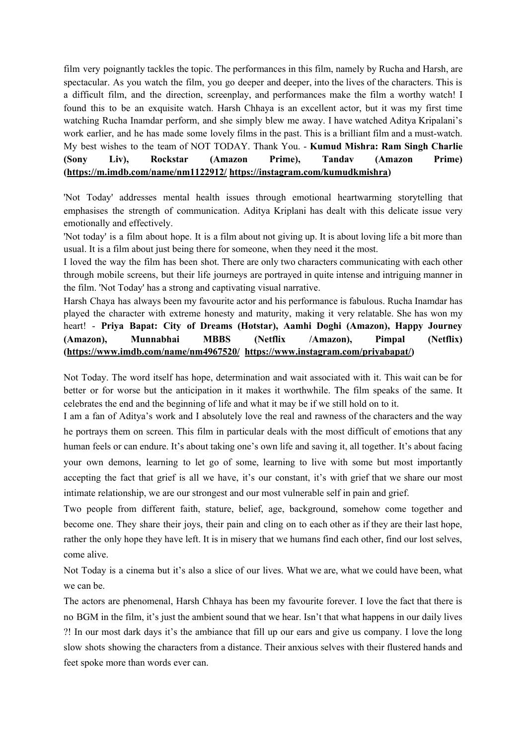film very poignantly tackles the topic. The performances in this film, namely by Rucha and Harsh, are spectacular. As you watch the film, you go deeper and deeper, into the lives of the characters. This is a difficult film, and the direction, screenplay, and performances make the film a worthy watch! I found this to be an exquisite watch. Harsh Chhaya is an excellent actor, but it was my first time watching Rucha Inamdar perform, and she simply blew me away. I have watched Aditya Kripalani's work earlier, and he has made some lovely films in the past. This is a brilliant film and a must-watch. My best wishes to the team of NOT TODAY. Thank You. - **Kumud Mishra: Ram Singh Charlie (Sony Liv), Rockstar (Amazon Prime), Tandav (Amazon Prime) (<https://m.imdb.com/name/nm1122912/> [https://instagram.com/kumudkmishra\)](https://instagram.com/kumudkmishra?igshid=1u133k0m2fxud)**

'Not Today' addresses mental health issues through emotional heartwarming storytelling that emphasises the strength of communication. Aditya Kriplani has dealt with this delicate issue very emotionally and effectively.

'Not today' is a film about hope. It is a film about not giving up. It is about loving life a bit more than usual. It is a film about just being there for someone, when they need it the most.

I loved the way the film has been shot. There are only two characters communicating with each other through mobile screens, but their life journeys are portrayed in quite intense and intriguing manner in the film. 'Not Today' has a strong and captivating visual narrative.

Harsh Chaya has always been my favourite actor and his performance is fabulous. Rucha Inamdar has played the character with extreme honesty and maturity, making it very relatable. She has won my heart! - **Priya Bapat: City of Dreams (Hotstar), Aamhi Doghi (Amazon), Happy Journey (Amazon), Munnabhai MBBS (Netflix /Amazon), Pimpal (Netflix) (<https://www.imdb.com/name/nm4967520/> <https://www.instagram.com/priyabapat/>)**

Not Today. The word itself has hope, determination and wait associated with it. This wait can be for better or for worse but the anticipation in it makes it worthwhile. The film speaks of the same. It celebrates the end and the beginning of life and what it may be if we still hold on to it.

I am a fan of Aditya's work and I absolutely love the real and rawness of the characters and the way he portrays them on screen. This film in particular deals with the most difficult of emotions that any human feels or can endure. It's about taking one's own life and saving it, all together. It's about facing your own demons, learning to let go of some, learning to live with some but most importantly accepting the fact that grief is all we have, it's our constant, it's with grief that we share our most intimate relationship, we are our strongest and our most vulnerable self in pain and grief.

Two people from different faith, stature, belief, age, background, somehow come together and become one. They share their joys, their pain and cling on to each other as if they are their last hope, rather the only hope they have left. It is in misery that we humans find each other, find our lost selves, come alive.

Not Today is a cinema but it's also a slice of our lives. What we are, what we could have been, what we can be.

The actors are phenomenal, Harsh Chhaya has been my favourite forever. I love the fact that there is no BGM in the film, it's just the ambient sound that we hear. Isn't that what happens in our daily lives ?! In our most dark days it's the ambiance that fill up our ears and give us company. I love the long slow shots showing the characters from a distance. Their anxious selves with their flustered hands and feet spoke more than words ever can.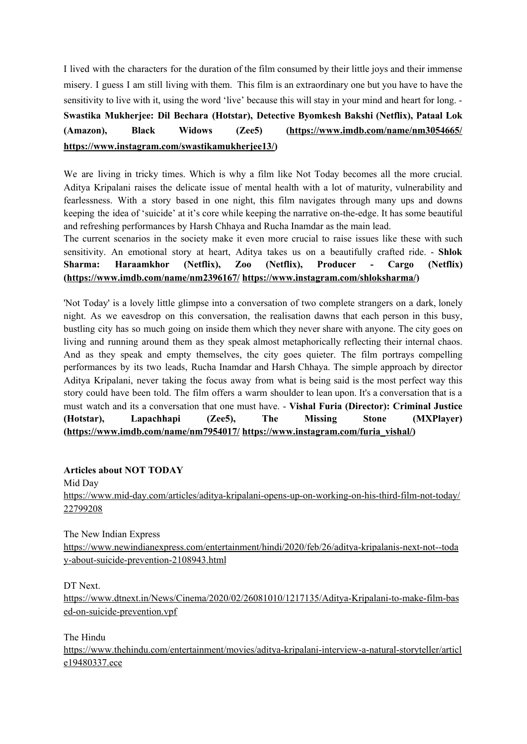I lived with the characters for the duration of the film consumed by their little joys and their immense misery. I guess I am still living with them. This film is an extraordinary one but you have to have the sensitivity to live with it, using the word 'live' because this will stay in your mind and heart for long. - **Swastika Mukherjee: Dil Bechara (Hotstar), Detective Byomkesh Bakshi (Netflix), Pataal Lok (Amazon), Black Widows (Zee5) [\(https://www.imdb.com/name/nm3054665/](https://www.imdb.com/name/nm3054665/) [https://www.instagram.com/swastikamukherjee13/\)](https://www.instagram.com/swastikamukherjee13/)**

We are living in tricky times. Which is why a film like Not Today becomes all the more crucial. Aditya Kripalani raises the delicate issue of mental health with a lot of maturity, vulnerability and fearlessness. With a story based in one night, this film navigates through many ups and downs keeping the idea of 'suicide' at it's core while keeping the narrative on-the-edge. It has some beautiful and refreshing performances by Harsh Chhaya and Rucha Inamdar as the main lead.

The current scenarios in the society make it even more crucial to raise issues like these with such sensitivity. An emotional story at heart, Aditya takes us on a beautifully crafted ride. - **Shlok Sharma: Haraamkhor (Netflix), Zoo (Netflix), Producer - Cargo (Netflix) (<https://www.imdb.com/name/nm2396167/> [https://www.instagram.com/shloksharma/\)](https://www.instagram.com/shloksharma/)**

'Not Today' is a lovely little glimpse into a conversation of two complete strangers on a dark, lonely night. As we eavesdrop on this conversation, the realisation dawns that each person in this busy, bustling city has so much going on inside them which they never share with anyone. The city goes on living and running around them as they speak almost metaphorically reflecting their internal chaos. And as they speak and empty themselves, the city goes quieter. The film portrays compelling performances by its two leads, Rucha Inamdar and Harsh Chhaya. The simple approach by director Aditya Kripalani, never taking the focus away from what is being said is the most perfect way this story could have been told. The film offers a warm shoulder to lean upon. It's a conversation that is a must watch and its a conversation that one must have. - **Vishal Furia (Director): Criminal Justice (Hotstar), Lapachhapi (Zee5), The Missing Stone (MXPlayer) (<https://www.imdb.com/name/nm7954017/> [https://www.instagram.com/furia\\_vishal/\)](https://www.instagram.com/furia_vishal/)**

**Articles about NOT TODAY**

Mid Day [https://www.mid-day.com/articles/aditya-kripalani-opens-up-on-working-on-his-third-film-not-today/](https://www.mid-day.com/articles/aditya-kripalani-opens-up-on-working-on-his-third-film-not-today/22799208) [22799208](https://www.mid-day.com/articles/aditya-kripalani-opens-up-on-working-on-his-third-film-not-today/22799208)

The New Indian Express

[https://www.newindianexpress.com/entertainment/hindi/2020/feb/26/aditya-kripalanis-next-not--toda](https://www.newindianexpress.com/entertainment/hindi/2020/feb/26/aditya-kripalanis-next-not--today-about-suicide-prevention-2108943.html) [y-about-suicide-prevention-2108943.html](https://www.newindianexpress.com/entertainment/hindi/2020/feb/26/aditya-kripalanis-next-not--today-about-suicide-prevention-2108943.html)

DT Next.

[https://www.dtnext.in/News/Cinema/2020/02/26081010/1217135/Aditya-Kripalani-to-make-film-bas](https://www.dtnext.in/News/Cinema/2020/02/26081010/1217135/Aditya-Kripalani-to-make-film-based-on-suicide-prevention.vpf) [ed-on-suicide-prevention.vpf](https://www.dtnext.in/News/Cinema/2020/02/26081010/1217135/Aditya-Kripalani-to-make-film-based-on-suicide-prevention.vpf)

The Hindu

[https://www.thehindu.com/entertainment/movies/aditya-kripalani-interview-a-natural-storyteller/articl](https://www.thehindu.com/entertainment/movies/aditya-kripalani-interview-a-natural-storyteller/article19480337.ece) [e19480337.ece](https://www.thehindu.com/entertainment/movies/aditya-kripalani-interview-a-natural-storyteller/article19480337.ece)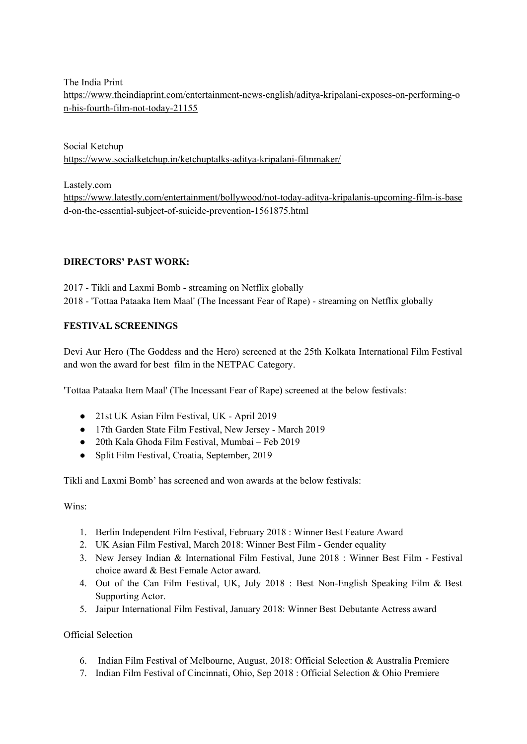The India Print

[https://www.theindiaprint.com/entertainment-news-english/aditya-kripalani-exposes-on-performing-o](https://www.theindiaprint.com/entertainment-news-english/aditya-kripalani-exposes-on-performing-on-his-fourth-film-not-today-21155) [n-his-fourth-film-not-today-21155](https://www.theindiaprint.com/entertainment-news-english/aditya-kripalani-exposes-on-performing-on-his-fourth-film-not-today-21155)

Social Ketchup <https://www.socialketchup.in/ketchuptalks-aditya-kripalani-filmmaker/>

Lastely.com

[https://www.latestly.com/entertainment/bollywood/not-today-aditya-kripalanis-upcoming-film-is-base](https://www.latestly.com/entertainment/bollywood/not-today-aditya-kripalanis-upcoming-film-is-based-on-the-essential-subject-of-suicide-prevention-1561875.html) [d-on-the-essential-subject-of-suicide-prevention-1561875.html](https://www.latestly.com/entertainment/bollywood/not-today-aditya-kripalanis-upcoming-film-is-based-on-the-essential-subject-of-suicide-prevention-1561875.html)

# **DIRECTORS' PAST WORK:**

2017 - Tikli and Laxmi Bomb - streaming on Netflix globally 2018 - 'Tottaa Pataaka Item Maal' (The Incessant Fear of Rape) - streaming on Netflix globally

# **FESTIVAL SCREENINGS**

Devi Aur Hero (The Goddess and the Hero) screened at the 25th Kolkata International Film Festival and won the award for best film in the NETPAC Category.

'Tottaa Pataaka Item Maal' (The Incessant Fear of Rape) screened at the below festivals:

- 21st UK Asian Film Festival, UK April 2019
- 17th Garden State Film Festival, New Jersey March 2019
- 20th Kala Ghoda Film Festival, Mumbai Feb 2019
- Split Film Festival, Croatia, September, 2019

Tikli and Laxmi Bomb' has screened and won awards at the below festivals:

Wins:

- 1. Berlin Independent Film Festival, February 2018 : Winner Best Feature Award
- 2. UK Asian Film Festival, March 2018: Winner Best Film Gender equality
- 3. New Jersey Indian & International Film Festival, June 2018 : Winner Best Film Festival choice award & Best Female Actor award.
- 4. Out of the Can Film Festival, UK, July 2018 : Best Non-English Speaking Film & Best Supporting Actor.
- 5. Jaipur International Film Festival, January 2018: Winner Best Debutante Actress award

Official Selection

- 6. Indian Film Festival of Melbourne, August, 2018: Official Selection & Australia Premiere
- 7. Indian Film Festival of Cincinnati, Ohio, Sep 2018 : Official Selection & Ohio Premiere